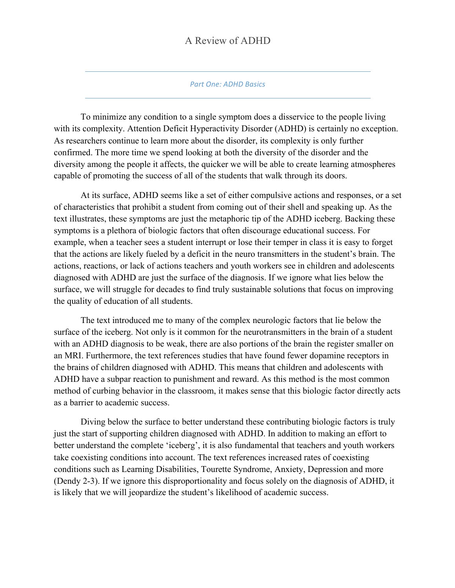#### *Part One: ADHD Basics*

To minimize any condition to a single symptom does a disservice to the people living with its complexity. Attention Deficit Hyperactivity Disorder (ADHD) is certainly no exception. As researchers continue to learn more about the disorder, its complexity is only further confirmed. The more time we spend looking at both the diversity of the disorder and the diversity among the people it affects, the quicker we will be able to create learning atmospheres capable of promoting the success of all of the students that walk through its doors.

At its surface, ADHD seems like a set of either compulsive actions and responses, or a set of characteristics that prohibit a student from coming out of their shell and speaking up. As the text illustrates, these symptoms are just the metaphoric tip of the ADHD iceberg. Backing these symptoms is a plethora of biologic factors that often discourage educational success. For example, when a teacher sees a student interrupt or lose their temper in class it is easy to forget that the actions are likely fueled by a deficit in the neuro transmitters in the student's brain. The actions, reactions, or lack of actions teachers and youth workers see in children and adolescents diagnosed with ADHD are just the surface of the diagnosis. If we ignore what lies below the surface, we will struggle for decades to find truly sustainable solutions that focus on improving the quality of education of all students.

The text introduced me to many of the complex neurologic factors that lie below the surface of the iceberg. Not only is it common for the neurotransmitters in the brain of a student with an ADHD diagnosis to be weak, there are also portions of the brain the register smaller on an MRI. Furthermore, the text references studies that have found fewer dopamine receptors in the brains of children diagnosed with ADHD. This means that children and adolescents with ADHD have a subpar reaction to punishment and reward. As this method is the most common method of curbing behavior in the classroom, it makes sense that this biologic factor directly acts as a barrier to academic success.

Diving below the surface to better understand these contributing biologic factors is truly just the start of supporting children diagnosed with ADHD. In addition to making an effort to better understand the complete 'iceberg', it is also fundamental that teachers and youth workers take coexisting conditions into account. The text references increased rates of coexisting conditions such as Learning Disabilities, Tourette Syndrome, Anxiety, Depression and more (Dendy 2-3). If we ignore this disproportionality and focus solely on the diagnosis of ADHD, it is likely that we will jeopardize the student's likelihood of academic success.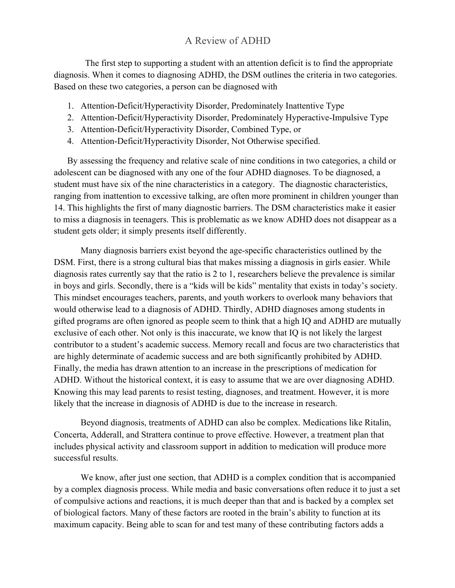The first step to supporting a student with an attention deficit is to find the appropriate diagnosis. When it comes to diagnosing ADHD, the DSM outlines the criteria in two categories. Based on these two categories, a person can be diagnosed with

- 1. Attention-Deficit/Hyperactivity Disorder, Predominately Inattentive Type
- 2. Attention-Deficit/Hyperactivity Disorder, Predominately Hyperactive-Impulsive Type
- 3. Attention-Deficit/Hyperactivity Disorder, Combined Type, or
- 4. Attention-Deficit/Hyperactivity Disorder, Not Otherwise specified.

By assessing the frequency and relative scale of nine conditions in two categories, a child or adolescent can be diagnosed with any one of the four ADHD diagnoses. To be diagnosed, a student must have six of the nine characteristics in a category. The diagnostic characteristics, ranging from inattention to excessive talking, are often more prominent in children younger than 14. This highlights the first of many diagnostic barriers. The DSM characteristics make it easier to miss a diagnosis in teenagers. This is problematic as we know ADHD does not disappear as a student gets older; it simply presents itself differently.

Many diagnosis barriers exist beyond the age-specific characteristics outlined by the DSM. First, there is a strong cultural bias that makes missing a diagnosis in girls easier. While diagnosis rates currently say that the ratio is 2 to 1, researchers believe the prevalence is similar in boys and girls. Secondly, there is a "kids will be kids" mentality that exists in today's society. This mindset encourages teachers, parents, and youth workers to overlook many behaviors that would otherwise lead to a diagnosis of ADHD. Thirdly, ADHD diagnoses among students in gifted programs are often ignored as people seem to think that a high IQ and ADHD are mutually exclusive of each other. Not only is this inaccurate, we know that IQ is not likely the largest contributor to a student's academic success. Memory recall and focus are two characteristics that are highly determinate of academic success and are both significantly prohibited by ADHD. Finally, the media has drawn attention to an increase in the prescriptions of medication for ADHD. Without the historical context, it is easy to assume that we are over diagnosing ADHD. Knowing this may lead parents to resist testing, diagnoses, and treatment. However, it is more likely that the increase in diagnosis of ADHD is due to the increase in research.

Beyond diagnosis, treatments of ADHD can also be complex. Medications like Ritalin, Concerta, Adderall, and Strattera continue to prove effective. However, a treatment plan that includes physical activity and classroom support in addition to medication will produce more successful results.

We know, after just one section, that ADHD is a complex condition that is accompanied by a complex diagnosis process. While media and basic conversations often reduce it to just a set of compulsive actions and reactions, it is much deeper than that and is backed by a complex set of biological factors. Many of these factors are rooted in the brain's ability to function at its maximum capacity. Being able to scan for and test many of these contributing factors adds a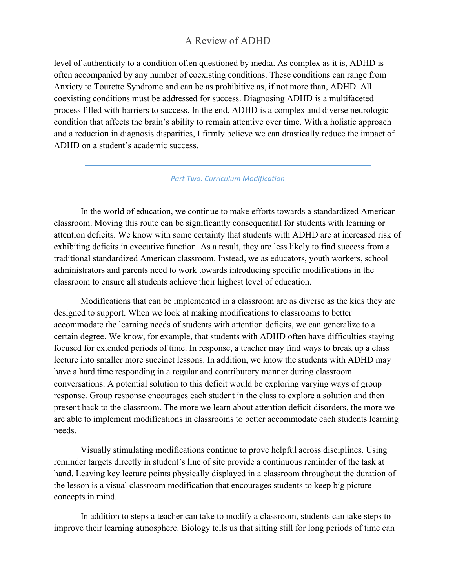level of authenticity to a condition often questioned by media. As complex as it is, ADHD is often accompanied by any number of coexisting conditions. These conditions can range from Anxiety to Tourette Syndrome and can be as prohibitive as, if not more than, ADHD. All coexisting conditions must be addressed for success. Diagnosing ADHD is a multifaceted process filled with barriers to success. In the end, ADHD is a complex and diverse neurologic condition that affects the brain's ability to remain attentive over time. With a holistic approach and a reduction in diagnosis disparities, I firmly believe we can drastically reduce the impact of ADHD on a student's academic success.

#### *Part Two: Curriculum Modification*

In the world of education, we continue to make efforts towards a standardized American classroom. Moving this route can be significantly consequential for students with learning or attention deficits. We know with some certainty that students with ADHD are at increased risk of exhibiting deficits in executive function. As a result, they are less likely to find success from a traditional standardized American classroom. Instead, we as educators, youth workers, school administrators and parents need to work towards introducing specific modifications in the classroom to ensure all students achieve their highest level of education.

Modifications that can be implemented in a classroom are as diverse as the kids they are designed to support. When we look at making modifications to classrooms to better accommodate the learning needs of students with attention deficits, we can generalize to a certain degree. We know, for example, that students with ADHD often have difficulties staying focused for extended periods of time. In response, a teacher may find ways to break up a class lecture into smaller more succinct lessons. In addition, we know the students with ADHD may have a hard time responding in a regular and contributory manner during classroom conversations. A potential solution to this deficit would be exploring varying ways of group response. Group response encourages each student in the class to explore a solution and then present back to the classroom. The more we learn about attention deficit disorders, the more we are able to implement modifications in classrooms to better accommodate each students learning needs.

Visually stimulating modifications continue to prove helpful across disciplines. Using reminder targets directly in student's line of site provide a continuous reminder of the task at hand. Leaving key lecture points physically displayed in a classroom throughout the duration of the lesson is a visual classroom modification that encourages students to keep big picture concepts in mind.

In addition to steps a teacher can take to modify a classroom, students can take steps to improve their learning atmosphere. Biology tells us that sitting still for long periods of time can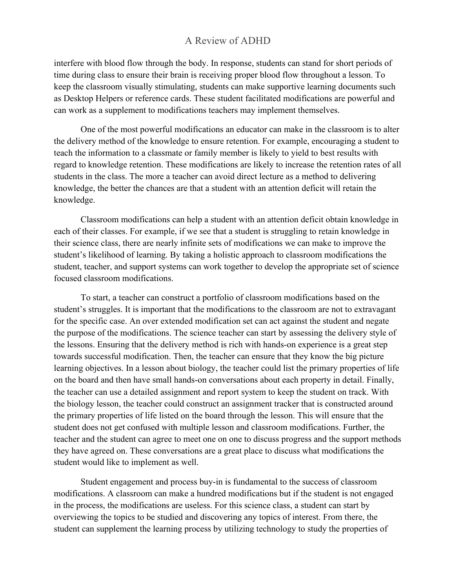interfere with blood flow through the body. In response, students can stand for short periods of time during class to ensure their brain is receiving proper blood flow throughout a lesson. To keep the classroom visually stimulating, students can make supportive learning documents such as Desktop Helpers or reference cards. These student facilitated modifications are powerful and can work as a supplement to modifications teachers may implement themselves.

One of the most powerful modifications an educator can make in the classroom is to alter the delivery method of the knowledge to ensure retention. For example, encouraging a student to teach the information to a classmate or family member is likely to yield to best results with regard to knowledge retention. These modifications are likely to increase the retention rates of all students in the class. The more a teacher can avoid direct lecture as a method to delivering knowledge, the better the chances are that a student with an attention deficit will retain the knowledge.

Classroom modifications can help a student with an attention deficit obtain knowledge in each of their classes. For example, if we see that a student is struggling to retain knowledge in their science class, there are nearly infinite sets of modifications we can make to improve the student's likelihood of learning. By taking a holistic approach to classroom modifications the student, teacher, and support systems can work together to develop the appropriate set of science focused classroom modifications.

To start, a teacher can construct a portfolio of classroom modifications based on the student's struggles. It is important that the modifications to the classroom are not to extravagant for the specific case. An over extended modification set can act against the student and negate the purpose of the modifications. The science teacher can start by assessing the delivery style of the lessons. Ensuring that the delivery method is rich with hands-on experience is a great step towards successful modification. Then, the teacher can ensure that they know the big picture learning objectives. In a lesson about biology, the teacher could list the primary properties of life on the board and then have small hands-on conversations about each property in detail. Finally, the teacher can use a detailed assignment and report system to keep the student on track. With the biology lesson, the teacher could construct an assignment tracker that is constructed around the primary properties of life listed on the board through the lesson. This will ensure that the student does not get confused with multiple lesson and classroom modifications. Further, the teacher and the student can agree to meet one on one to discuss progress and the support methods they have agreed on. These conversations are a great place to discuss what modifications the student would like to implement as well.

Student engagement and process buy-in is fundamental to the success of classroom modifications. A classroom can make a hundred modifications but if the student is not engaged in the process, the modifications are useless. For this science class, a student can start by overviewing the topics to be studied and discovering any topics of interest. From there, the student can supplement the learning process by utilizing technology to study the properties of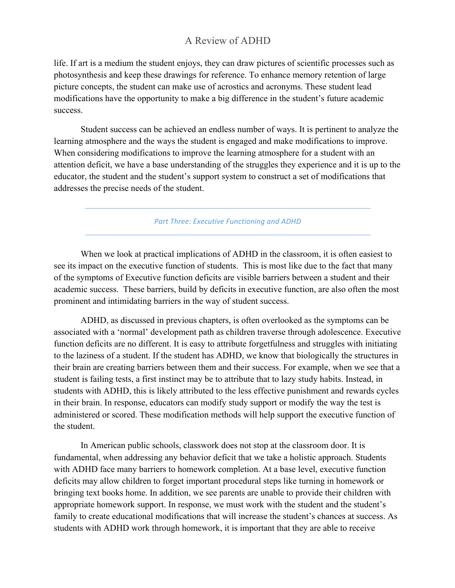life. If art is a medium the student enjoys, they can draw pictures of scientific processes such as photosynthesis and keep these drawings for reference. To enhance memory retention of large picture concepts, the student can make use of acrostics and acronyms. These student lead modifications have the opportunity to make a big difference in the student's future academic success.

Student success can be achieved an endless number of ways. It is pertinent to analyze the learning atmosphere and the ways the student is engaged and make modifications to improve. When considering modifications to improve the learning atmosphere for a student with an attention deficit, we have a base understanding of the struggles they experience and it is up to the educator, the student and the student's support system to construct a set of modifications that addresses the precise needs of the student.

**Part Three: Executive Functioning and ADHD** 

When we look at practical implications of ADHD in the classroom, it is often easiest to see its impact on the executive function of students. This is most like due to the fact that many of the symptoms of Executive function deficits are visible barriers between a student and their academic success. These barriers, build by deficits in executive function, are also often the most prominent and intimidating barriers in the way of student success.

ADHD, as discussed in previous chapters, is often overlooked as the symptoms can be associated with a 'normal' development path as children traverse through adolescence. Executive function deficits are no different. It is easy to attribute forgetfulness and struggles with initiating to the laziness of a student. If the student has ADHD, we know that biologically the structures in their brain are creating barriers between them and their success. For example, when we see that a student is failing tests, a first instinct may be to attribute that to lazy study habits. Instead, in students with ADHD, this is likely attributed to the less effective punishment and rewards cycles in their brain. In response, educators can modify study support or modify the way the test is administered or scored. These modification methods will help support the executive function of the student.

In American public schools, classwork does not stop at the classroom door. It is fundamental, when addressing any behavior deficit that we take a holistic approach. Students with ADHD face many barriers to homework completion. At a base level, executive function deficits may allow children to forget important procedural steps like turning in homework or bringing text books home. In addition, we see parents are unable to provide their children with appropriate homework support. In response, we must work with the student and the student's family to create educational modifications that will increase the student's chances at success. As students with ADHD work through homework, it is important that they are able to receive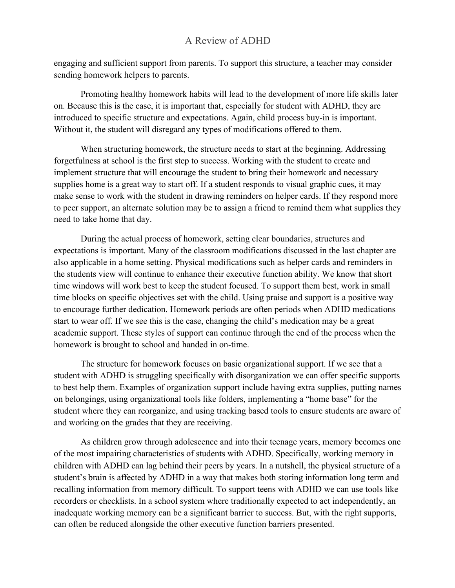engaging and sufficient support from parents. To support this structure, a teacher may consider sending homework helpers to parents.

Promoting healthy homework habits will lead to the development of more life skills later on. Because this is the case, it is important that, especially for student with ADHD, they are introduced to specific structure and expectations. Again, child process buy-in is important. Without it, the student will disregard any types of modifications offered to them.

When structuring homework, the structure needs to start at the beginning. Addressing forgetfulness at school is the first step to success. Working with the student to create and implement structure that will encourage the student to bring their homework and necessary supplies home is a great way to start off. If a student responds to visual graphic cues, it may make sense to work with the student in drawing reminders on helper cards. If they respond more to peer support, an alternate solution may be to assign a friend to remind them what supplies they need to take home that day.

During the actual process of homework, setting clear boundaries, structures and expectations is important. Many of the classroom modifications discussed in the last chapter are also applicable in a home setting. Physical modifications such as helper cards and reminders in the students view will continue to enhance their executive function ability. We know that short time windows will work best to keep the student focused. To support them best, work in small time blocks on specific objectives set with the child. Using praise and support is a positive way to encourage further dedication. Homework periods are often periods when ADHD medications start to wear off. If we see this is the case, changing the child's medication may be a great academic support. These styles of support can continue through the end of the process when the homework is brought to school and handed in on-time.

The structure for homework focuses on basic organizational support. If we see that a student with ADHD is struggling specifically with disorganization we can offer specific supports to best help them. Examples of organization support include having extra supplies, putting names on belongings, using organizational tools like folders, implementing a "home base" for the student where they can reorganize, and using tracking based tools to ensure students are aware of and working on the grades that they are receiving.

As children grow through adolescence and into their teenage years, memory becomes one of the most impairing characteristics of students with ADHD. Specifically, working memory in children with ADHD can lag behind their peers by years. In a nutshell, the physical structure of a student's brain is affected by ADHD in a way that makes both storing information long term and recalling information from memory difficult. To support teens with ADHD we can use tools like recorders or checklists. In a school system where traditionally expected to act independently, an inadequate working memory can be a significant barrier to success. But, with the right supports, can often be reduced alongside the other executive function barriers presented.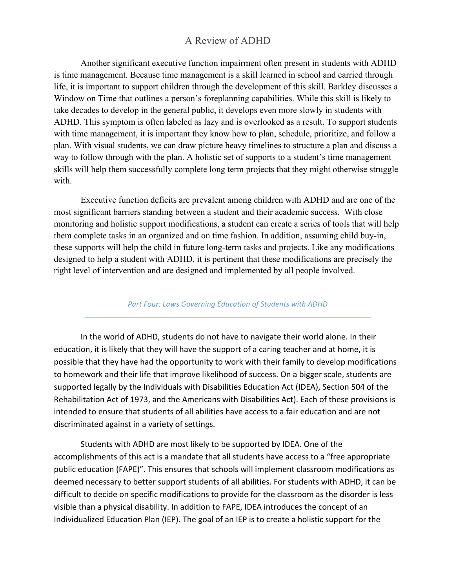Another significant executive function impairment often present in students with ADHD is time management. Because time management is a skill learned in school and carried through life, it is important to support children through the development of this skill. Barkley discusses a Window on Time that outlines a person's foreplanning capabilities. While this skill is likely to take decades to develop in the general public, it develops even more slowly in students with ADHD. This symptom is often labeled as lazy and is overlooked as a result. To support students with time management, it is important they know how to plan, schedule, prioritize, and follow a plan. With visual students, we can draw picture heavy timelines to structure a plan and discuss a way to follow through with the plan. A holistic set of supports to a student's time management skills will help them successfully complete long term projects that they might otherwise struggle with.

Executive function deficits are prevalent among children with ADHD and are one of the most significant barriers standing between a student and their academic success. With close monitoring and holistic support modifications, a student can create a series of tools that will help them complete tasks in an organized and on time fashion. In addition, assuming child buy-in, these supports will help the child in future long-term tasks and projects. Like any modifications designed to help a student with ADHD, it is pertinent that these modifications are precisely the right level of intervention and are designed and implemented by all people involved.

#### Part Four: Laws Governing Education of Students with ADHD

In the world of ADHD, students do not have to navigate their world alone. In their education, it is likely that they will have the support of a caring teacher and at home, it is possible that they have had the opportunity to work with their family to develop modifications to homework and their life that improve likelihood of success. On a bigger scale, students are supported legally by the Individuals with Disabilities Education Act (IDEA), Section 504 of the Rehabilitation Act of 1973, and the Americans with Disabilities Act). Each of these provisions is intended to ensure that students of all abilities have access to a fair education and are not discriminated against in a variety of settings.

Students with ADHD are most likely to be supported by IDEA. One of the accomplishments of this act is a mandate that all students have access to a "free appropriate public education (FAPE)". This ensures that schools will implement classroom modifications as deemed necessary to better support students of all abilities. For students with ADHD, it can be difficult to decide on specific modifications to provide for the classroom as the disorder is less visible than a physical disability. In addition to FAPE, IDEA introduces the concept of an Individualized Education Plan (IEP). The goal of an IEP is to create a holistic support for the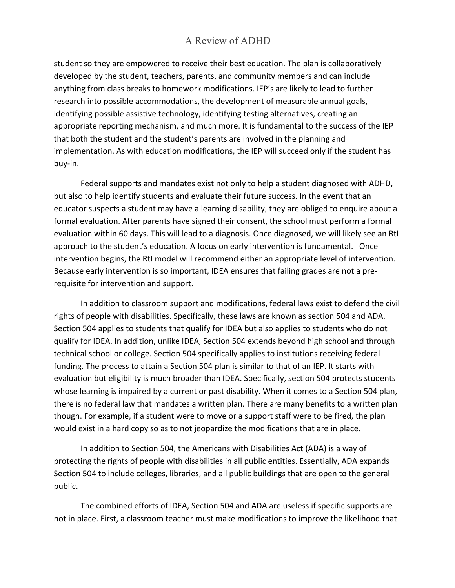student so they are empowered to receive their best education. The plan is collaboratively developed by the student, teachers, parents, and community members and can include anything from class breaks to homework modifications. IEP's are likely to lead to further research into possible accommodations, the development of measurable annual goals, identifying possible assistive technology, identifying testing alternatives, creating an appropriate reporting mechanism, and much more. It is fundamental to the success of the IEP that both the student and the student's parents are involved in the planning and implementation. As with education modifications, the IEP will succeed only if the student has buy-in. 

Federal supports and mandates exist not only to help a student diagnosed with ADHD, but also to help identify students and evaluate their future success. In the event that an educator suspects a student may have a learning disability, they are obliged to enquire about a formal evaluation. After parents have signed their consent, the school must perform a formal evaluation within 60 days. This will lead to a diagnosis. Once diagnosed, we will likely see an Rtl approach to the student's education. A focus on early intervention is fundamental. Once intervention begins, the RtI model will recommend either an appropriate level of intervention. Because early intervention is so important, IDEA ensures that failing grades are not a prerequisite for intervention and support.

In addition to classroom support and modifications, federal laws exist to defend the civil rights of people with disabilities. Specifically, these laws are known as section 504 and ADA. Section 504 applies to students that qualify for IDEA but also applies to students who do not qualify for IDEA. In addition, unlike IDEA, Section 504 extends beyond high school and through technical school or college. Section 504 specifically applies to institutions receiving federal funding. The process to attain a Section 504 plan is similar to that of an IEP. It starts with evaluation but eligibility is much broader than IDEA. Specifically, section 504 protects students whose learning is impaired by a current or past disability. When it comes to a Section 504 plan, there is no federal law that mandates a written plan. There are many benefits to a written plan though. For example, if a student were to move or a support staff were to be fired, the plan would exist in a hard copy so as to not jeopardize the modifications that are in place.

In addition to Section 504, the Americans with Disabilities Act (ADA) is a way of protecting the rights of people with disabilities in all public entities. Essentially, ADA expands Section 504 to include colleges, libraries, and all public buildings that are open to the general public.

The combined efforts of IDEA, Section 504 and ADA are useless if specific supports are not in place. First, a classroom teacher must make modifications to improve the likelihood that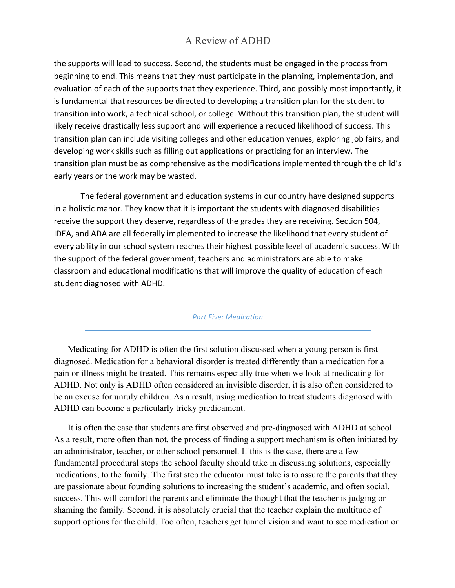the supports will lead to success. Second, the students must be engaged in the process from beginning to end. This means that they must participate in the planning, implementation, and evaluation of each of the supports that they experience. Third, and possibly most importantly, it is fundamental that resources be directed to developing a transition plan for the student to transition into work, a technical school, or college. Without this transition plan, the student will likely receive drastically less support and will experience a reduced likelihood of success. This transition plan can include visiting colleges and other education venues, exploring job fairs, and developing work skills such as filling out applications or practicing for an interview. The transition plan must be as comprehensive as the modifications implemented through the child's early years or the work may be wasted.

The federal government and education systems in our country have designed supports in a holistic manor. They know that it is important the students with diagnosed disabilities receive the support they deserve, regardless of the grades they are receiving. Section 504, IDEA, and ADA are all federally implemented to increase the likelihood that every student of every ability in our school system reaches their highest possible level of academic success. With the support of the federal government, teachers and administrators are able to make classroom and educational modifications that will improve the quality of education of each student diagnosed with ADHD.

#### *Part Five: Medication*

Medicating for ADHD is often the first solution discussed when a young person is first diagnosed. Medication for a behavioral disorder is treated differently than a medication for a pain or illness might be treated. This remains especially true when we look at medicating for ADHD. Not only is ADHD often considered an invisible disorder, it is also often considered to be an excuse for unruly children. As a result, using medication to treat students diagnosed with ADHD can become a particularly tricky predicament.

It is often the case that students are first observed and pre-diagnosed with ADHD at school. As a result, more often than not, the process of finding a support mechanism is often initiated by an administrator, teacher, or other school personnel. If this is the case, there are a few fundamental procedural steps the school faculty should take in discussing solutions, especially medications, to the family. The first step the educator must take is to assure the parents that they are passionate about founding solutions to increasing the student's academic, and often social, success. This will comfort the parents and eliminate the thought that the teacher is judging or shaming the family. Second, it is absolutely crucial that the teacher explain the multitude of support options for the child. Too often, teachers get tunnel vision and want to see medication or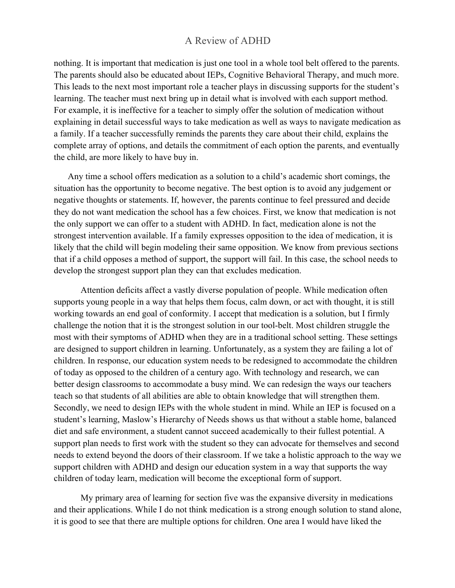nothing. It is important that medication is just one tool in a whole tool belt offered to the parents. The parents should also be educated about IEPs, Cognitive Behavioral Therapy, and much more. This leads to the next most important role a teacher plays in discussing supports for the student's learning. The teacher must next bring up in detail what is involved with each support method. For example, it is ineffective for a teacher to simply offer the solution of medication without explaining in detail successful ways to take medication as well as ways to navigate medication as a family. If a teacher successfully reminds the parents they care about their child, explains the complete array of options, and details the commitment of each option the parents, and eventually the child, are more likely to have buy in.

Any time a school offers medication as a solution to a child's academic short comings, the situation has the opportunity to become negative. The best option is to avoid any judgement or negative thoughts or statements. If, however, the parents continue to feel pressured and decide they do not want medication the school has a few choices. First, we know that medication is not the only support we can offer to a student with ADHD. In fact, medication alone is not the strongest intervention available. If a family expresses opposition to the idea of medication, it is likely that the child will begin modeling their same opposition. We know from previous sections that if a child opposes a method of support, the support will fail. In this case, the school needs to develop the strongest support plan they can that excludes medication.

Attention deficits affect a vastly diverse population of people. While medication often supports young people in a way that helps them focus, calm down, or act with thought, it is still working towards an end goal of conformity. I accept that medication is a solution, but I firmly challenge the notion that it is the strongest solution in our tool-belt. Most children struggle the most with their symptoms of ADHD when they are in a traditional school setting. These settings are designed to support children in learning. Unfortunately, as a system they are failing a lot of children. In response, our education system needs to be redesigned to accommodate the children of today as opposed to the children of a century ago. With technology and research, we can better design classrooms to accommodate a busy mind. We can redesign the ways our teachers teach so that students of all abilities are able to obtain knowledge that will strengthen them. Secondly, we need to design IEPs with the whole student in mind. While an IEP is focused on a student's learning, Maslow's Hierarchy of Needs shows us that without a stable home, balanced diet and safe environment, a student cannot succeed academically to their fullest potential. A support plan needs to first work with the student so they can advocate for themselves and second needs to extend beyond the doors of their classroom. If we take a holistic approach to the way we support children with ADHD and design our education system in a way that supports the way children of today learn, medication will become the exceptional form of support.

My primary area of learning for section five was the expansive diversity in medications and their applications. While I do not think medication is a strong enough solution to stand alone, it is good to see that there are multiple options for children. One area I would have liked the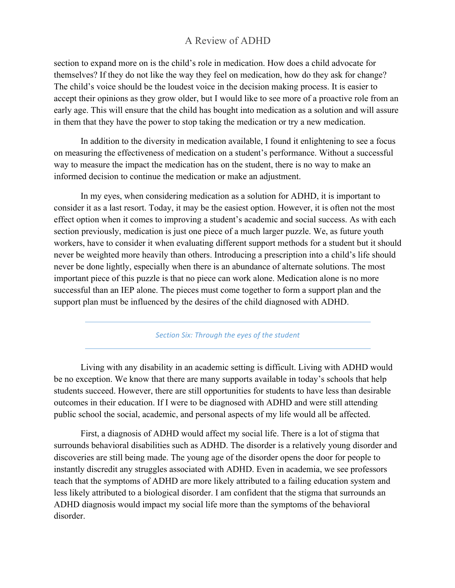section to expand more on is the child's role in medication. How does a child advocate for themselves? If they do not like the way they feel on medication, how do they ask for change? The child's voice should be the loudest voice in the decision making process. It is easier to accept their opinions as they grow older, but I would like to see more of a proactive role from an early age. This will ensure that the child has bought into medication as a solution and will assure in them that they have the power to stop taking the medication or try a new medication.

In addition to the diversity in medication available, I found it enlightening to see a focus on measuring the effectiveness of medication on a student's performance. Without a successful way to measure the impact the medication has on the student, there is no way to make an informed decision to continue the medication or make an adjustment.

In my eyes, when considering medication as a solution for ADHD, it is important to consider it as a last resort. Today, it may be the easiest option. However, it is often not the most effect option when it comes to improving a student's academic and social success. As with each section previously, medication is just one piece of a much larger puzzle. We, as future youth workers, have to consider it when evaluating different support methods for a student but it should never be weighted more heavily than others. Introducing a prescription into a child's life should never be done lightly, especially when there is an abundance of alternate solutions. The most important piece of this puzzle is that no piece can work alone. Medication alone is no more successful than an IEP alone. The pieces must come together to form a support plan and the support plan must be influenced by the desires of the child diagnosed with ADHD.

Section Six: Through the eyes of the student

Living with any disability in an academic setting is difficult. Living with ADHD would be no exception. We know that there are many supports available in today's schools that help students succeed. However, there are still opportunities for students to have less than desirable outcomes in their education. If I were to be diagnosed with ADHD and were still attending public school the social, academic, and personal aspects of my life would all be affected.

First, a diagnosis of ADHD would affect my social life. There is a lot of stigma that surrounds behavioral disabilities such as ADHD. The disorder is a relatively young disorder and discoveries are still being made. The young age of the disorder opens the door for people to instantly discredit any struggles associated with ADHD. Even in academia, we see professors teach that the symptoms of ADHD are more likely attributed to a failing education system and less likely attributed to a biological disorder. I am confident that the stigma that surrounds an ADHD diagnosis would impact my social life more than the symptoms of the behavioral disorder.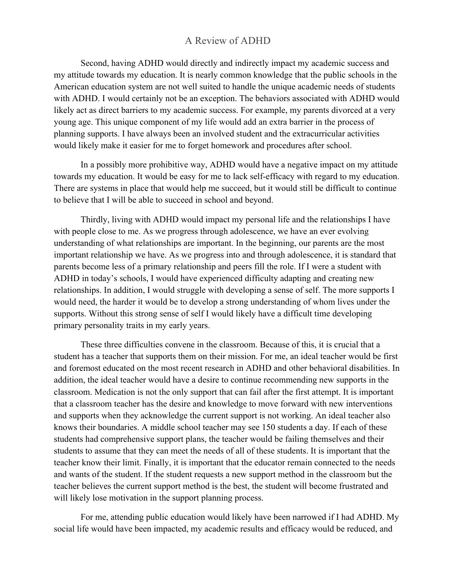Second, having ADHD would directly and indirectly impact my academic success and my attitude towards my education. It is nearly common knowledge that the public schools in the American education system are not well suited to handle the unique academic needs of students with ADHD. I would certainly not be an exception. The behaviors associated with ADHD would likely act as direct barriers to my academic success. For example, my parents divorced at a very young age. This unique component of my life would add an extra barrier in the process of planning supports. I have always been an involved student and the extracurricular activities would likely make it easier for me to forget homework and procedures after school.

In a possibly more prohibitive way, ADHD would have a negative impact on my attitude towards my education. It would be easy for me to lack self-efficacy with regard to my education. There are systems in place that would help me succeed, but it would still be difficult to continue to believe that I will be able to succeed in school and beyond.

Thirdly, living with ADHD would impact my personal life and the relationships I have with people close to me. As we progress through adolescence, we have an ever evolving understanding of what relationships are important. In the beginning, our parents are the most important relationship we have. As we progress into and through adolescence, it is standard that parents become less of a primary relationship and peers fill the role. If I were a student with ADHD in today's schools, I would have experienced difficulty adapting and creating new relationships. In addition, I would struggle with developing a sense of self. The more supports I would need, the harder it would be to develop a strong understanding of whom lives under the supports. Without this strong sense of self I would likely have a difficult time developing primary personality traits in my early years.

These three difficulties convene in the classroom. Because of this, it is crucial that a student has a teacher that supports them on their mission. For me, an ideal teacher would be first and foremost educated on the most recent research in ADHD and other behavioral disabilities. In addition, the ideal teacher would have a desire to continue recommending new supports in the classroom. Medication is not the only support that can fail after the first attempt. It is important that a classroom teacher has the desire and knowledge to move forward with new interventions and supports when they acknowledge the current support is not working. An ideal teacher also knows their boundaries. A middle school teacher may see 150 students a day. If each of these students had comprehensive support plans, the teacher would be failing themselves and their students to assume that they can meet the needs of all of these students. It is important that the teacher know their limit. Finally, it is important that the educator remain connected to the needs and wants of the student. If the student requests a new support method in the classroom but the teacher believes the current support method is the best, the student will become frustrated and will likely lose motivation in the support planning process.

For me, attending public education would likely have been narrowed if I had ADHD. My social life would have been impacted, my academic results and efficacy would be reduced, and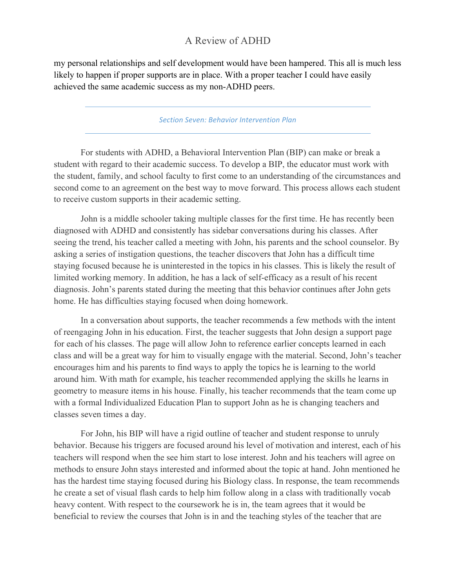my personal relationships and self development would have been hampered. This all is much less likely to happen if proper supports are in place. With a proper teacher I could have easily achieved the same academic success as my non-ADHD peers.

#### *Section Seven: Behavior Intervention Plan*

For students with ADHD, a Behavioral Intervention Plan (BIP) can make or break a student with regard to their academic success. To develop a BIP, the educator must work with the student, family, and school faculty to first come to an understanding of the circumstances and second come to an agreement on the best way to move forward. This process allows each student to receive custom supports in their academic setting.

John is a middle schooler taking multiple classes for the first time. He has recently been diagnosed with ADHD and consistently has sidebar conversations during his classes. After seeing the trend, his teacher called a meeting with John, his parents and the school counselor. By asking a series of instigation questions, the teacher discovers that John has a difficult time staying focused because he is uninterested in the topics in his classes. This is likely the result of limited working memory. In addition, he has a lack of self-efficacy as a result of his recent diagnosis. John's parents stated during the meeting that this behavior continues after John gets home. He has difficulties staying focused when doing homework.

In a conversation about supports, the teacher recommends a few methods with the intent of reengaging John in his education. First, the teacher suggests that John design a support page for each of his classes. The page will allow John to reference earlier concepts learned in each class and will be a great way for him to visually engage with the material. Second, John's teacher encourages him and his parents to find ways to apply the topics he is learning to the world around him. With math for example, his teacher recommended applying the skills he learns in geometry to measure items in his house. Finally, his teacher recommends that the team come up with a formal Individualized Education Plan to support John as he is changing teachers and classes seven times a day.

For John, his BIP will have a rigid outline of teacher and student response to unruly behavior. Because his triggers are focused around his level of motivation and interest, each of his teachers will respond when the see him start to lose interest. John and his teachers will agree on methods to ensure John stays interested and informed about the topic at hand. John mentioned he has the hardest time staying focused during his Biology class. In response, the team recommends he create a set of visual flash cards to help him follow along in a class with traditionally vocab heavy content. With respect to the coursework he is in, the team agrees that it would be beneficial to review the courses that John is in and the teaching styles of the teacher that are